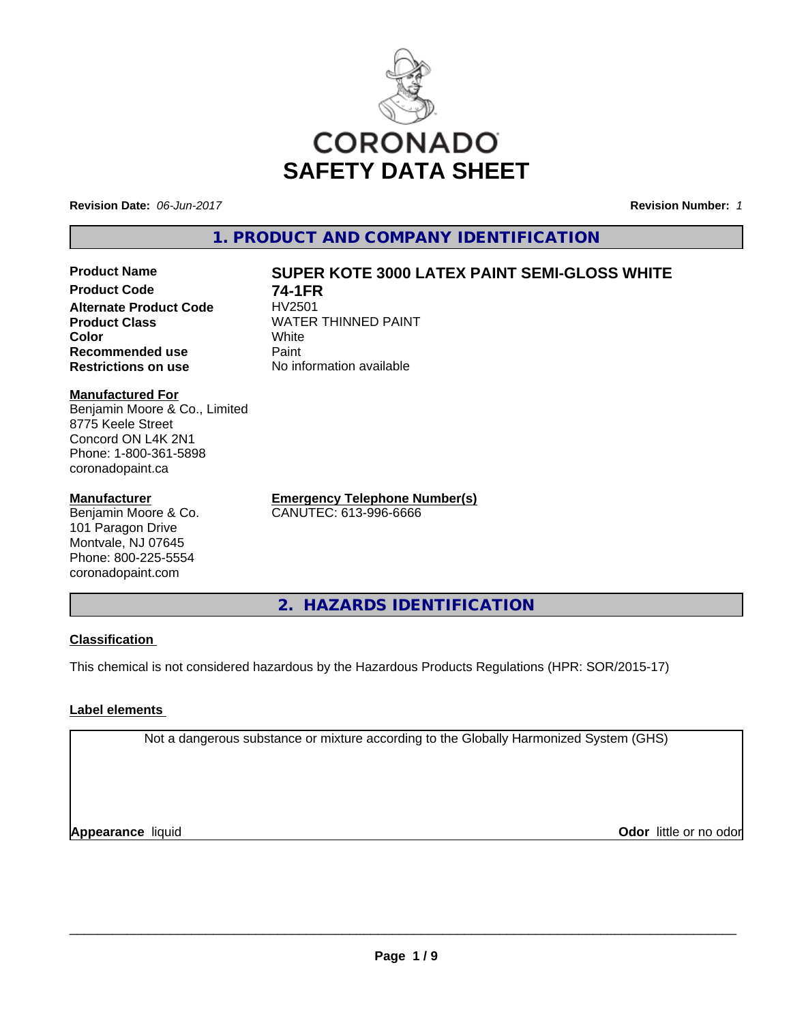

**Revision Date:** *06-Jun-2017* **Revision Number:** *1*

**1. PRODUCT AND COMPANY IDENTIFICATION**

**Product Code 74-1FR Alternate Product Code**<br>Product Class **Color** White White **Recommended use** Paint **Restrictions on use** No information available

# **Product Name SUPER KOTE 3000 LATEX PAINT SEMI-GLOSS WHITE**

**WATER THINNED PAINT** 

**Manufactured For** Benjamin Moore & Co., Limited 8775 Keele Street Concord ON L4K 2N1 Phone: 1-800-361-5898 coronadopaint.ca

# **Manufacturer**

Benjamin Moore & Co. 101 Paragon Drive Montvale, NJ 07645 Phone: 800-225-5554 coronadopaint.com

**Emergency Telephone Number(s)** CANUTEC: 613-996-6666

**2. HAZARDS IDENTIFICATION**

# **Classification**

This chemical is not considered hazardous by the Hazardous Products Regulations (HPR: SOR/2015-17)

# **Label elements**

Not a dangerous substance or mixture according to the Globally Harmonized System (GHS)

**Appearance** liquid

**Odor** little or no odor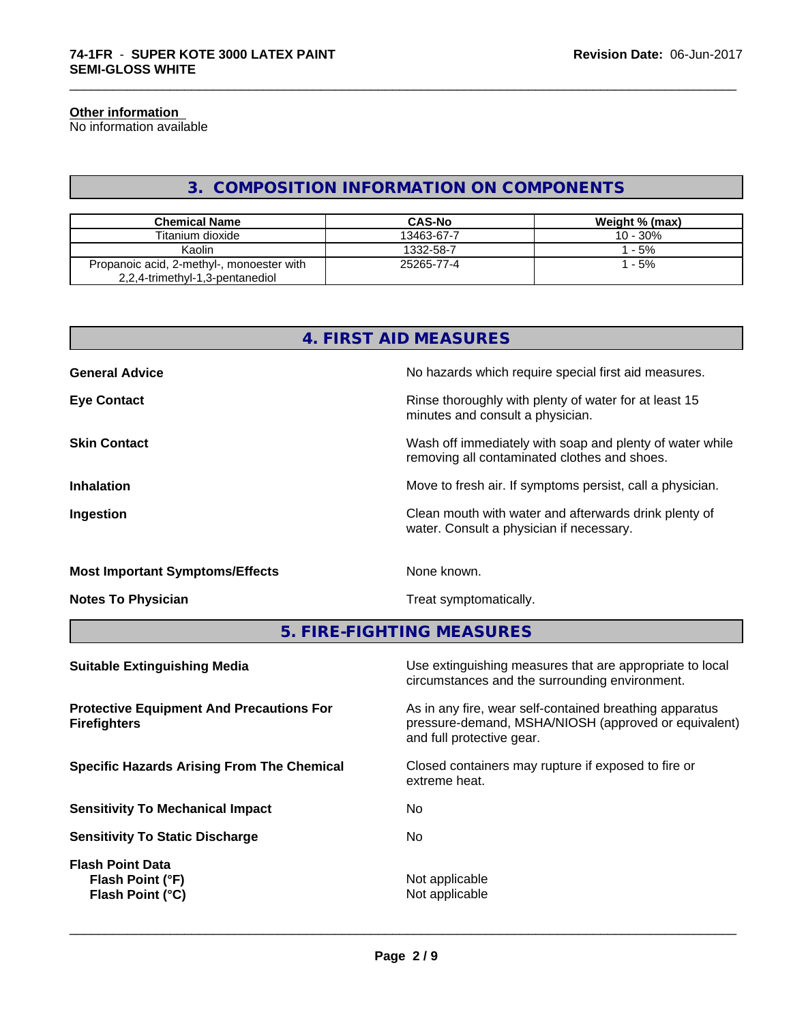#### **Other information**

No information available

# **3. COMPOSITION INFORMATION ON COMPONENTS**

\_\_\_\_\_\_\_\_\_\_\_\_\_\_\_\_\_\_\_\_\_\_\_\_\_\_\_\_\_\_\_\_\_\_\_\_\_\_\_\_\_\_\_\_\_\_\_\_\_\_\_\_\_\_\_\_\_\_\_\_\_\_\_\_\_\_\_\_\_\_\_\_\_\_\_\_\_\_\_\_\_\_\_\_\_\_\_\_\_\_\_\_\_

| <b>Chemical Name</b>                                                         | <b>CAS-No</b> | Weight % (max) |
|------------------------------------------------------------------------------|---------------|----------------|
| Titanium dioxide                                                             | 13463-67-7    | $10 - 30\%$    |
| Kaolin                                                                       | 1332-58-7     | $-5%$          |
| Propanoic acid, 2-methyl-, monoester with<br>2,2,4-trimethyl-1,3-pentanediol | 25265-77-4    | $-5%$          |

| 4. FIRST AID MEASURES                  |                                                                                                          |  |  |  |
|----------------------------------------|----------------------------------------------------------------------------------------------------------|--|--|--|
| <b>General Advice</b>                  | No hazards which require special first aid measures.                                                     |  |  |  |
| <b>Eye Contact</b>                     | Rinse thoroughly with plenty of water for at least 15<br>minutes and consult a physician.                |  |  |  |
| <b>Skin Contact</b>                    | Wash off immediately with soap and plenty of water while<br>removing all contaminated clothes and shoes. |  |  |  |
| <b>Inhalation</b>                      | Move to fresh air. If symptoms persist, call a physician.                                                |  |  |  |
| Ingestion                              | Clean mouth with water and afterwards drink plenty of<br>water. Consult a physician if necessary.        |  |  |  |
| <b>Most Important Symptoms/Effects</b> | None known.                                                                                              |  |  |  |
| <b>Notes To Physician</b>              | Treat symptomatically.                                                                                   |  |  |  |

**5. FIRE-FIGHTING MEASURES**

| Use extinguishing measures that are appropriate to local<br>circumstances and the surrounding environment.                                   |
|----------------------------------------------------------------------------------------------------------------------------------------------|
| As in any fire, wear self-contained breathing apparatus<br>pressure-demand, MSHA/NIOSH (approved or equivalent)<br>and full protective gear. |
| Closed containers may rupture if exposed to fire or<br>extreme heat.                                                                         |
| No.                                                                                                                                          |
| No.                                                                                                                                          |
| Not applicable<br>Not applicable                                                                                                             |
|                                                                                                                                              |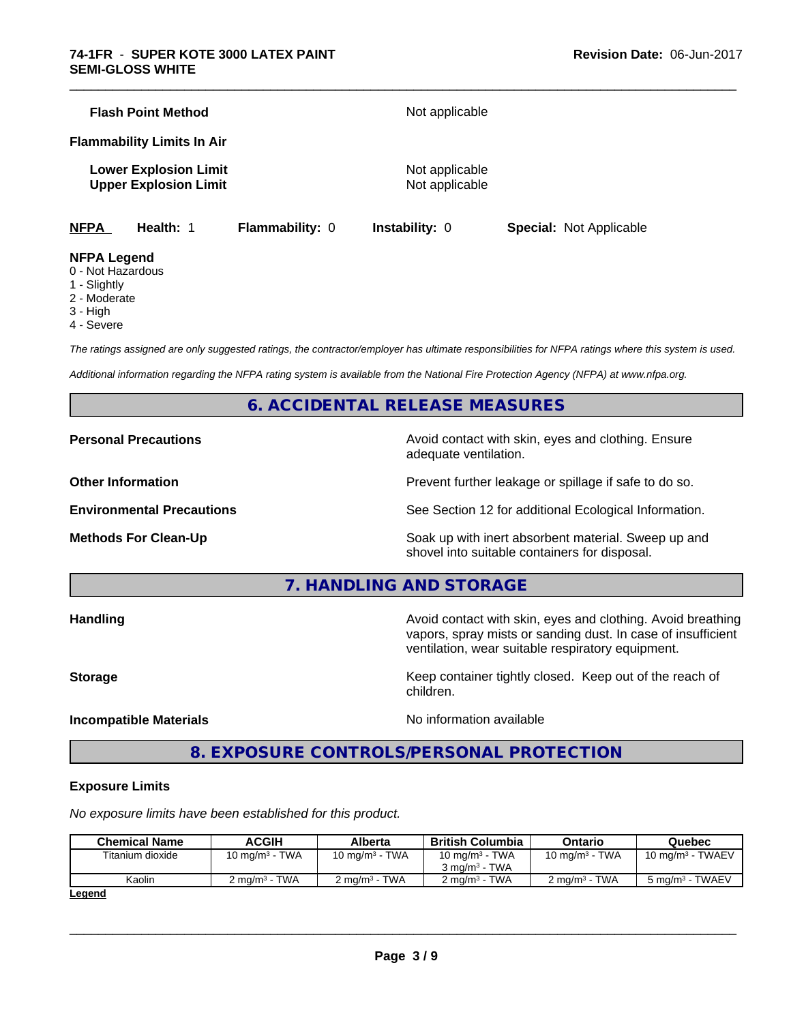|             | <b>Flash Point Method</b>                                    |                        | Not applicable                   |                                |  |  |
|-------------|--------------------------------------------------------------|------------------------|----------------------------------|--------------------------------|--|--|
|             | <b>Flammability Limits In Air</b>                            |                        |                                  |                                |  |  |
|             | <b>Lower Explosion Limit</b><br><b>Upper Explosion Limit</b> |                        | Not applicable<br>Not applicable |                                |  |  |
| <b>NFPA</b> | Health: 1                                                    | <b>Flammability: 0</b> | <b>Instability: 0</b>            | <b>Special: Not Applicable</b> |  |  |

\_\_\_\_\_\_\_\_\_\_\_\_\_\_\_\_\_\_\_\_\_\_\_\_\_\_\_\_\_\_\_\_\_\_\_\_\_\_\_\_\_\_\_\_\_\_\_\_\_\_\_\_\_\_\_\_\_\_\_\_\_\_\_\_\_\_\_\_\_\_\_\_\_\_\_\_\_\_\_\_\_\_\_\_\_\_\_\_\_\_\_\_\_

#### **NFPA Legend**

- 0 Not Hazardous
- 1 Slightly
- 2 Moderate
- 3 High
- 4 Severe

*The ratings assigned are only suggested ratings, the contractor/employer has ultimate responsibilities for NFPA ratings where this system is used.*

*Additional information regarding the NFPA rating system is available from the National Fire Protection Agency (NFPA) at www.nfpa.org.*

# **6. ACCIDENTAL RELEASE MEASURES**

**Personal Precautions Avoid contact with skin, eyes and clothing. Ensure** Avoid contact with skin, eyes and clothing. Ensure adequate ventilation.

**Other Information Discription Prevent further leakage or spillage if safe to do so.** 

**Environmental Precautions** See Section 12 for additional Ecological Information.

**Methods For Clean-Up Example 20 All 20 All 20 All 20 Soak** up with inert absorbent material. Sweep up and shovel into suitable containers for disposal.

**7. HANDLING AND STORAGE**

**Handling Handling Avoid contact with skin, eyes and clothing. Avoid breathing** vapors, spray mists or sanding dust. In case of insufficient ventilation, wear suitable respiratory equipment.

**Storage Keep container tightly closed. Keep out of the reach of Keep** container tightly closed. Keep out of the reach of

**Incompatible Materials Incompatible Materials No information available** 

 $\overline{\phantom{a}}$  ,  $\overline{\phantom{a}}$  ,  $\overline{\phantom{a}}$  ,  $\overline{\phantom{a}}$  ,  $\overline{\phantom{a}}$  ,  $\overline{\phantom{a}}$  ,  $\overline{\phantom{a}}$  ,  $\overline{\phantom{a}}$  ,  $\overline{\phantom{a}}$  ,  $\overline{\phantom{a}}$  ,  $\overline{\phantom{a}}$  ,  $\overline{\phantom{a}}$  ,  $\overline{\phantom{a}}$  ,  $\overline{\phantom{a}}$  ,  $\overline{\phantom{a}}$  ,  $\overline{\phantom{a}}$ 

# **8. EXPOSURE CONTROLS/PERSONAL PROTECTION**

children.

## **Exposure Limits**

*No exposure limits have been established for this product.*

| <b>Chemical Name</b> | ACGIH                     | Alberta           | <b>British Columbia</b>                       | Ontario                  | Quebec                      |
|----------------------|---------------------------|-------------------|-----------------------------------------------|--------------------------|-----------------------------|
| Titanium dioxide     | 10 mg/m $3$ - TWA         | 10 mg/m $3$ - TWA | 10 mg/m $3$ - TWA<br>$3 \text{ ma/m}^3$ - TWA | 10 mg/m $3$ - TWA        | $10 \text{ mg/m}^3$ - TWAEV |
| Kaolin               | 2 ma/m <sup>3</sup> - TWA | 2 ma/m³ - TWA     | $2 \text{ ma/m}^3$ - TWA                      | $2 \text{ ma/m}^3$ - TWA | $5 \text{ ma/m}^3$ - TWAEV  |
| l ogond              |                           |                   |                                               |                          |                             |

**Legend**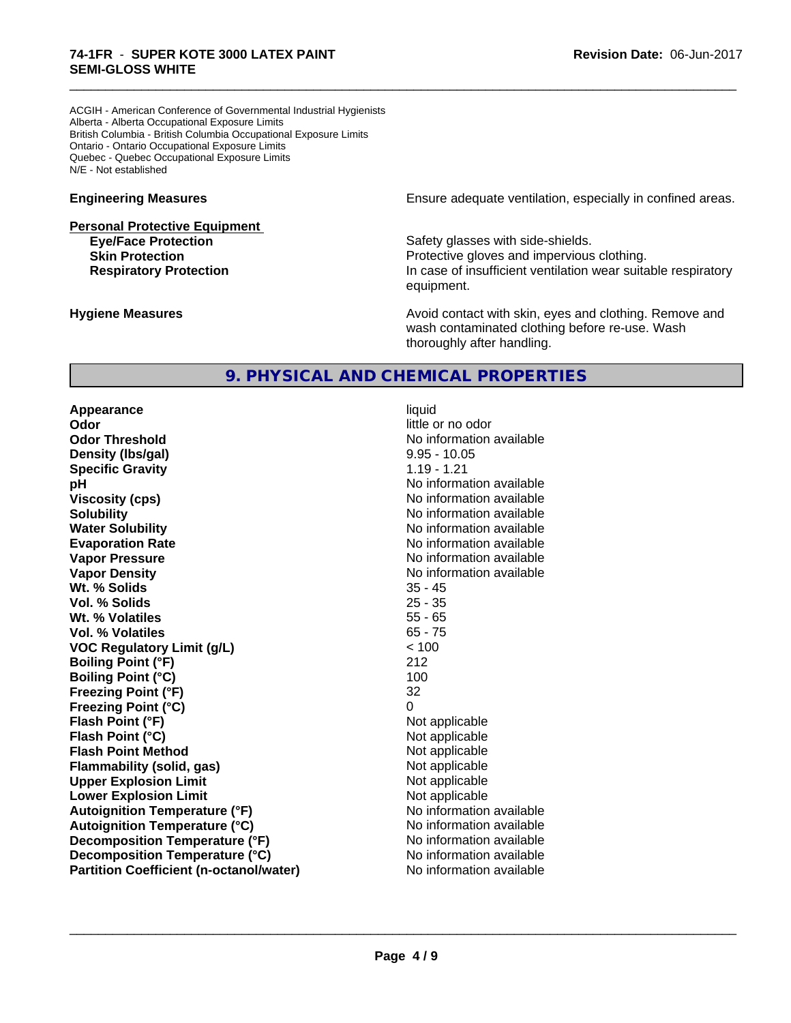ACGIH - American Conference of Governmental Industrial Hygienists Alberta - Alberta Occupational Exposure Limits British Columbia - British Columbia Occupational Exposure Limits Ontario - Ontario Occupational Exposure Limits Quebec - Quebec Occupational Exposure Limits N/E - Not established

**Personal Protective Equipment**

**Engineering Measures Engineering Measures Engineering Measures Ensure adequate ventilation, especially in confined areas.** 

**Eye/Face Protection Safety glasses with side-shields. Skin Protection Protection Protective gloves and impervious clothing. Respiratory Protection In case of insufficient ventilation wear suitable respiratory** equipment.

**Hygiene Measures Avoid contact with skin, eyes and clothing. Remove and Avoid contact with skin, eyes and clothing. Remove and Avoid contact with skin, eyes and clothing. Remove and** wash contaminated clothing before re-use. Wash thoroughly after handling.

# **9. PHYSICAL AND CHEMICAL PROPERTIES**

**Appearance** liquid **Odor** little or no odor **Odor Threshold** No information available **Density (Ibs/gal)** 8.95 - 10.05<br> **Specific Gravity** 1.19 - 1.21 **Specific Gravity pH pH**  $\blacksquare$ **Viscosity (cps)** No information available **Solubility No information available No information available Water Solubility No information available No information available Evaporation Rate No information available No information available Vapor Pressure** No information available No information available **Vapor Density No information available** No information available **Wt. % Solids** 35 - 45 **Vol. % Solids** 25 - 35 **Wt. % Volatiles** 55 - 65 **Vol. % Volatiles** 65 - 75 **VOC Regulatory Limit (g/L)** < 100 **Boiling Point (°F)** 212 **Boiling Point (°C)** 100 **Freezing Point (°F)** 32 **Freezing Point (°C)** 0 **Flash Point (°F)** Not applicable **Flash Point (°C)** Not applicable **Flash Point Method** Not applicable **Flammability (solid, gas)** Not applicable **Upper Explosion Limit**<br> **Lower Explosion Limit**<br> **Lower Explosion Limit Lower Explosion Limit**<br> **Autoianition Temperature (°F)**<br> **Autoianition Temperature (°F)**<br> **Autoianition Temperature (°F) Autoignition Temperature (°F) Autoignition Temperature (°C)** No information available **Decomposition Temperature (°F)** No information available **Decomposition Temperature (°C)** No information available **Partition Coefficient (n-octanol/water)** No information available

 $\overline{\phantom{a}}$  ,  $\overline{\phantom{a}}$  ,  $\overline{\phantom{a}}$  ,  $\overline{\phantom{a}}$  ,  $\overline{\phantom{a}}$  ,  $\overline{\phantom{a}}$  ,  $\overline{\phantom{a}}$  ,  $\overline{\phantom{a}}$  ,  $\overline{\phantom{a}}$  ,  $\overline{\phantom{a}}$  ,  $\overline{\phantom{a}}$  ,  $\overline{\phantom{a}}$  ,  $\overline{\phantom{a}}$  ,  $\overline{\phantom{a}}$  ,  $\overline{\phantom{a}}$  ,  $\overline{\phantom{a}}$ 

\_\_\_\_\_\_\_\_\_\_\_\_\_\_\_\_\_\_\_\_\_\_\_\_\_\_\_\_\_\_\_\_\_\_\_\_\_\_\_\_\_\_\_\_\_\_\_\_\_\_\_\_\_\_\_\_\_\_\_\_\_\_\_\_\_\_\_\_\_\_\_\_\_\_\_\_\_\_\_\_\_\_\_\_\_\_\_\_\_\_\_\_\_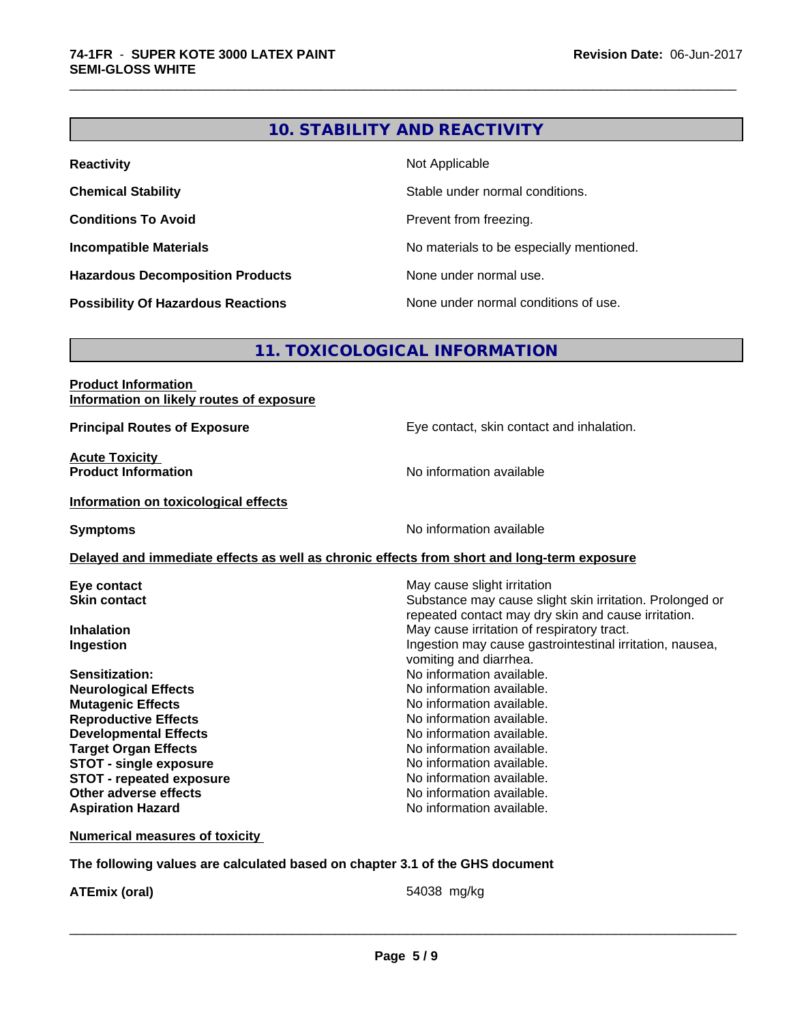# **10. STABILITY AND REACTIVITY**

\_\_\_\_\_\_\_\_\_\_\_\_\_\_\_\_\_\_\_\_\_\_\_\_\_\_\_\_\_\_\_\_\_\_\_\_\_\_\_\_\_\_\_\_\_\_\_\_\_\_\_\_\_\_\_\_\_\_\_\_\_\_\_\_\_\_\_\_\_\_\_\_\_\_\_\_\_\_\_\_\_\_\_\_\_\_\_\_\_\_\_\_\_

| <b>Reactivity</b>                         | Not Applicable                           |
|-------------------------------------------|------------------------------------------|
| <b>Chemical Stability</b>                 | Stable under normal conditions.          |
| <b>Conditions To Avoid</b>                | Prevent from freezing.                   |
| <b>Incompatible Materials</b>             | No materials to be especially mentioned. |
| <b>Hazardous Decomposition Products</b>   | None under normal use.                   |
| <b>Possibility Of Hazardous Reactions</b> | None under normal conditions of use.     |

# **11. TOXICOLOGICAL INFORMATION**

| <b>Product Information</b>               |  |
|------------------------------------------|--|
| Information on likely routes of exposure |  |

**Acute Toxicity<br>Product Information** 

**Principal Routes of Exposure** Eye contact, skin contact and inhalation.

**No information available** 

### **Information on toxicological effects**

**Symptoms** No information available

# **Delayed and immediate effects as well as chronic effects from short and long-term exposure**

| Eye contact<br><b>Skin contact</b> | May cause slight irritation<br>Substance may cause slight skin irritation. Prolonged or<br>repeated contact may dry skin and cause irritation. |
|------------------------------------|------------------------------------------------------------------------------------------------------------------------------------------------|
| <b>Inhalation</b>                  | May cause irritation of respiratory tract.                                                                                                     |
| Ingestion                          | Ingestion may cause gastrointestinal irritation, nausea,<br>vomiting and diarrhea.                                                             |
| <b>Sensitization:</b>              | No information available.                                                                                                                      |
| <b>Neurological Effects</b>        | No information available.                                                                                                                      |
| <b>Mutagenic Effects</b>           | No information available.                                                                                                                      |
| <b>Reproductive Effects</b>        | No information available.                                                                                                                      |
| <b>Developmental Effects</b>       | No information available.                                                                                                                      |
| <b>Target Organ Effects</b>        | No information available.                                                                                                                      |
| <b>STOT - single exposure</b>      | No information available.                                                                                                                      |
| <b>STOT - repeated exposure</b>    | No information available.                                                                                                                      |
| Other adverse effects              | No information available.                                                                                                                      |

# **Aspiration Hazard Aspiration Hazard No information available.**

## **Numerical measures of toxicity**

**The following values are calculated based on chapter 3.1 of the GHS document**

**ATEmix (oral)** 54038 mg/kg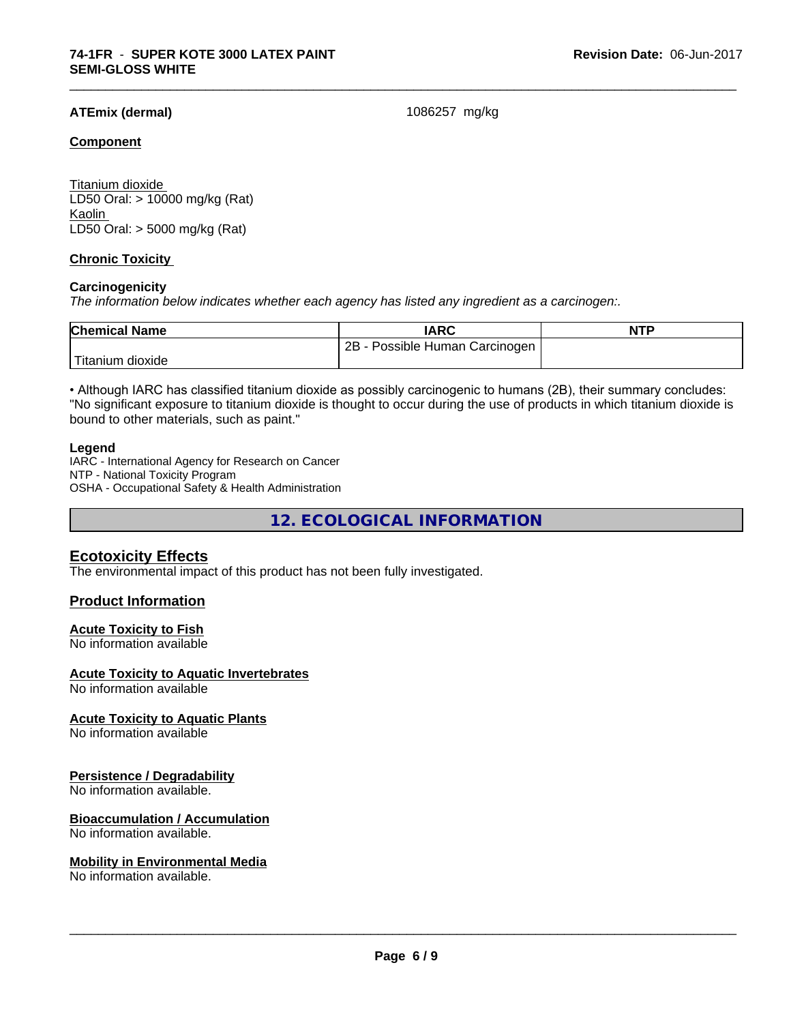# **ATEmix (dermal)** 1086257 mg/kg

\_\_\_\_\_\_\_\_\_\_\_\_\_\_\_\_\_\_\_\_\_\_\_\_\_\_\_\_\_\_\_\_\_\_\_\_\_\_\_\_\_\_\_\_\_\_\_\_\_\_\_\_\_\_\_\_\_\_\_\_\_\_\_\_\_\_\_\_\_\_\_\_\_\_\_\_\_\_\_\_\_\_\_\_\_\_\_\_\_\_\_\_\_

### **Component**

Titanium dioxide LD50 Oral: > 10000 mg/kg (Rat) Kaolin LD50 Oral: > 5000 mg/kg (Rat)

# **Chronic Toxicity**

### **Carcinogenicity**

*The information below indicateswhether each agency has listed any ingredient as a carcinogen:.*

| <b>Chemical Name</b> | <b>IARC</b>                           | <b>NTP</b> |
|----------------------|---------------------------------------|------------|
|                      | 2Β<br>Possible<br>Carcinogen<br>Human |            |
| dioxide<br>⊺ıtanıum  |                                       |            |

• Although IARC has classified titanium dioxide as possibly carcinogenic to humans (2B), their summary concludes: "No significant exposure to titanium dioxide is thought to occur during the use of products in which titanium dioxide is bound to other materials, such as paint."

#### **Legend**

IARC - International Agency for Research on Cancer NTP - National Toxicity Program OSHA - Occupational Safety & Health Administration

**12. ECOLOGICAL INFORMATION**

# **Ecotoxicity Effects**

The environmental impact of this product has not been fully investigated.

## **Product Information**

#### **Acute Toxicity to Fish**

No information available

#### **Acute Toxicity to Aquatic Invertebrates**

No information available

#### **Acute Toxicity to Aquatic Plants**

No information available

#### **Persistence / Degradability**

No information available.

#### **Bioaccumulation / Accumulation**

No information available.

#### **Mobility in Environmental Media**

No information available.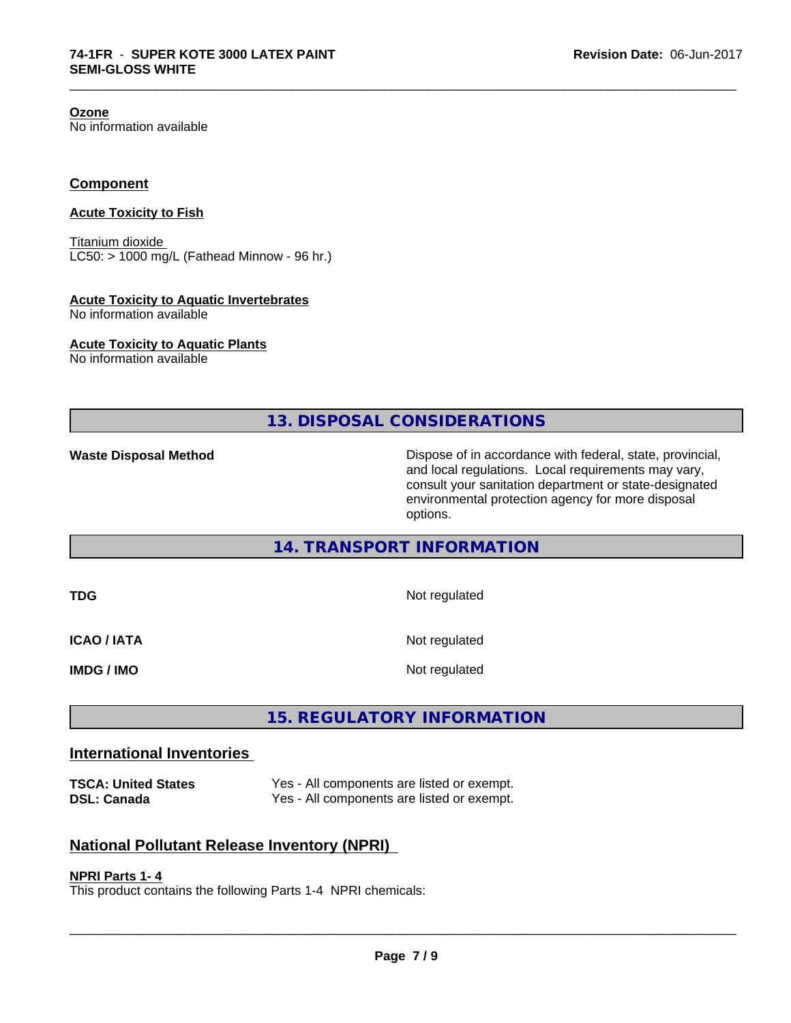**Ozone**

No information available

# **Component**

# **Acute Toxicity to Fish**

Titanium dioxide  $LC50:$  > 1000 mg/L (Fathead Minnow - 96 hr.)

### **Acute Toxicity to Aquatic Invertebrates**

No information available

### **Acute Toxicity to Aquatic Plants**

No information available

**13. DISPOSAL CONSIDERATIONS**

\_\_\_\_\_\_\_\_\_\_\_\_\_\_\_\_\_\_\_\_\_\_\_\_\_\_\_\_\_\_\_\_\_\_\_\_\_\_\_\_\_\_\_\_\_\_\_\_\_\_\_\_\_\_\_\_\_\_\_\_\_\_\_\_\_\_\_\_\_\_\_\_\_\_\_\_\_\_\_\_\_\_\_\_\_\_\_\_\_\_\_\_\_

**Waste Disposal Method Dispose of in accordance with federal, state, provincial,** and local regulations. Local requirements may vary, consult your sanitation department or state-designated environmental protection agency for more disposal options.

# **14. TRANSPORT INFORMATION**

| TDG                | Not regulated |
|--------------------|---------------|
| <b>ICAO / IATA</b> | Not regulated |
| <b>IMDG / IMO</b>  | Not regulated |

# **15. REGULATORY INFORMATION**

# **International Inventories**

**TSCA: United States** Yes - All components are listed or exempt. **DSL: Canada** Yes - All components are listed or exempt.

# **National Pollutant Release Inventory (NPRI)**

#### **NPRI Parts 1- 4**

This product contains the following Parts 1-4 NPRI chemicals: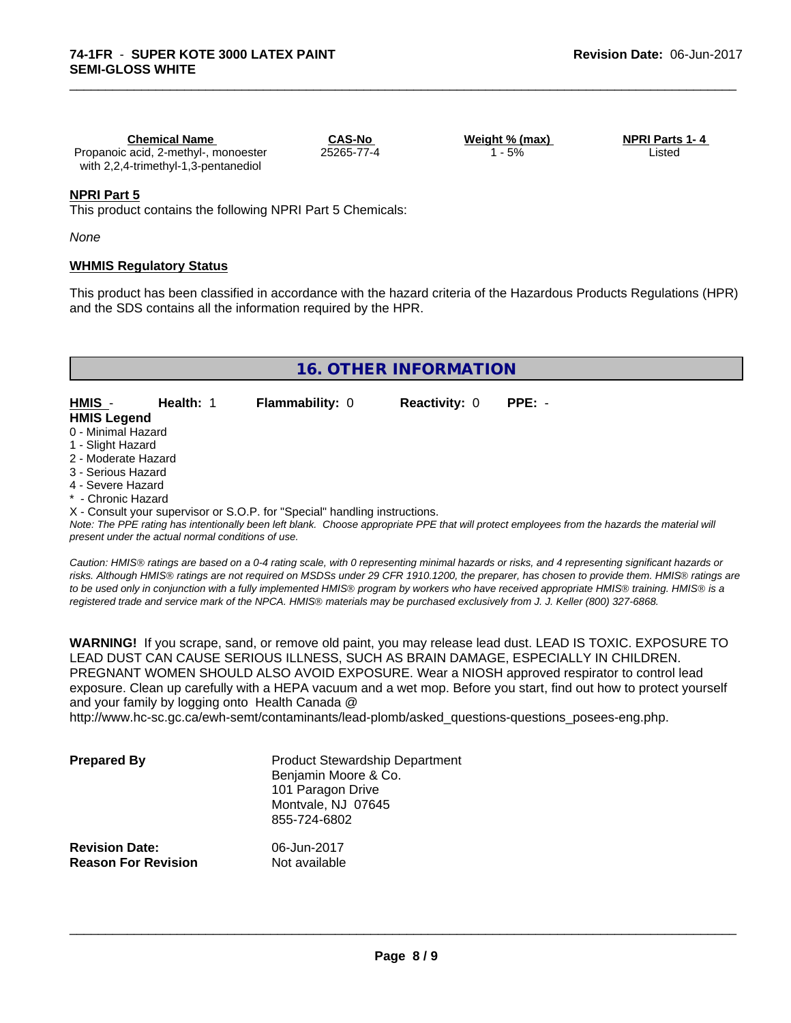| <b>Chemical Name</b>                 | <b>CAS-No</b> | Weight % (max) | <b>NPRI Parts 1-4</b> |
|--------------------------------------|---------------|----------------|-----------------------|
| Propanoic acid, 2-methyl-, monoester | 25265-77-4    | 5%             | ∟isted                |
| with 2,2,4-trimethyl-1,3-pentanediol |               |                |                       |

\_\_\_\_\_\_\_\_\_\_\_\_\_\_\_\_\_\_\_\_\_\_\_\_\_\_\_\_\_\_\_\_\_\_\_\_\_\_\_\_\_\_\_\_\_\_\_\_\_\_\_\_\_\_\_\_\_\_\_\_\_\_\_\_\_\_\_\_\_\_\_\_\_\_\_\_\_\_\_\_\_\_\_\_\_\_\_\_\_\_\_\_\_

## **NPRI Part 5**

This product contains the following NPRI Part 5 Chemicals:

*None*

## **WHMIS Regulatory Status**

This product has been classified in accordance with the hazard criteria of the Hazardous Products Regulations (HPR) and the SDS contains all the information required by the HPR.

# **16. OTHER INFORMATION**

| HMIS -             | Health: 1 | <b>Flammability: 0</b> | <b>Reactivity: 0</b> | PPE: - |
|--------------------|-----------|------------------------|----------------------|--------|
| <b>HMIS Legend</b> |           |                        |                      |        |

- 0 Minimal Hazard
- 1 Slight Hazard
- 2 Moderate Hazard
- 3 Serious Hazard
- 4 Severe Hazard
- Chronic Hazard

X - Consult your supervisor or S.O.P. for "Special" handling instructions.

*Note: The PPE rating has intentionally been left blank. Choose appropriate PPE that will protect employees from the hazards the material will present under the actual normal conditions of use.*

*Caution: HMISÒ ratings are based on a 0-4 rating scale, with 0 representing minimal hazards or risks, and 4 representing significant hazards or risks. Although HMISÒ ratings are not required on MSDSs under 29 CFR 1910.1200, the preparer, has chosen to provide them. HMISÒ ratings are to be used only in conjunction with a fully implemented HMISÒ program by workers who have received appropriate HMISÒ training. HMISÒ is a registered trade and service mark of the NPCA. HMISÒ materials may be purchased exclusively from J. J. Keller (800) 327-6868.*

**WARNING!** If you scrape, sand, or remove old paint, you may release lead dust. LEAD IS TOXIC. EXPOSURE TO LEAD DUST CAN CAUSE SERIOUS ILLNESS, SUCH AS BRAIN DAMAGE, ESPECIALLY IN CHILDREN. PREGNANT WOMEN SHOULD ALSO AVOID EXPOSURE.Wear a NIOSH approved respirator to control lead exposure. Clean up carefully with a HEPA vacuum and a wet mop. Before you start, find out how to protect yourself and your family by logging onto Health Canada @

http://www.hc-sc.gc.ca/ewh-semt/contaminants/lead-plomb/asked\_questions-questions\_posees-eng.php.

| <b>Prepared By</b>                                  | <b>Product Stewardship Department</b><br>Benjamin Moore & Co.<br>101 Paragon Drive<br>Montvale, NJ 07645<br>855-724-6802 |  |
|-----------------------------------------------------|--------------------------------------------------------------------------------------------------------------------------|--|
| <b>Revision Date:</b><br><b>Reason For Revision</b> | 06-Jun-2017<br>Not available                                                                                             |  |